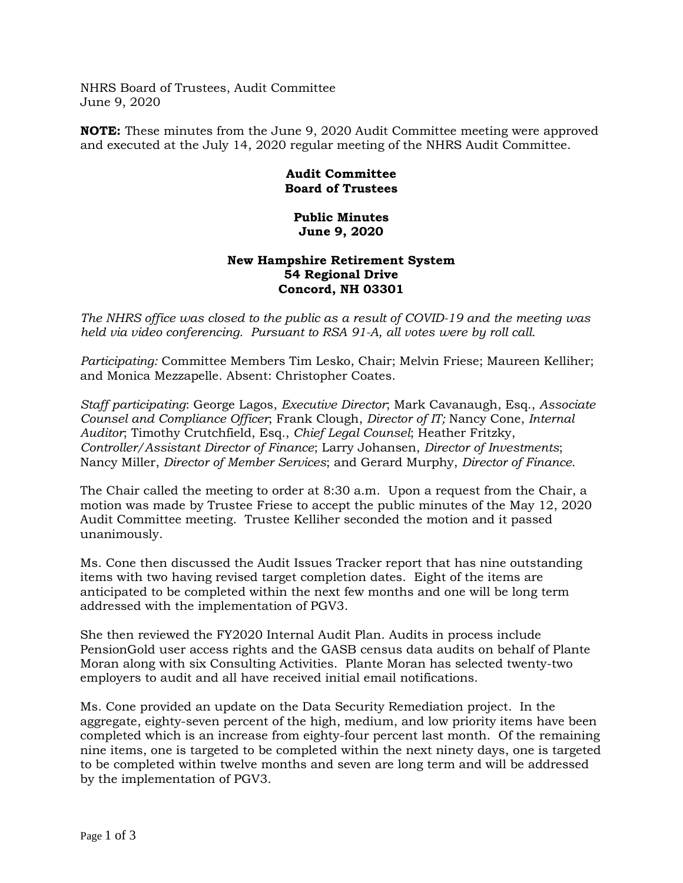NHRS Board of Trustees, Audit Committee June 9, 2020

**NOTE:** These minutes from the June 9, 2020 Audit Committee meeting were approved and executed at the July 14, 2020 regular meeting of the NHRS Audit Committee.

## **Audit Committee Board of Trustees**

## **Public Minutes June 9, 2020**

## **New Hampshire Retirement System 54 Regional Drive Concord, NH 03301**

*The NHRS office was closed to the public as a result of COVID-19 and the meeting was held via video conferencing. Pursuant to RSA 91-A, all votes were by roll call.*

*Participating:* Committee Members Tim Lesko, Chair; Melvin Friese; Maureen Kelliher; and Monica Mezzapelle. Absent: Christopher Coates.

*Staff participating*: George Lagos, *Executive Director*; Mark Cavanaugh, Esq., *Associate Counsel and Compliance Officer*; Frank Clough, *Director of IT;* Nancy Cone, *Internal Auditor*; Timothy Crutchfield, Esq., *Chief Legal Counsel*; Heather Fritzky, *Controller/Assistant Director of Finance*; Larry Johansen, *Director of Investments*; Nancy Miller, *Director of Member Services*; and Gerard Murphy, *Director of Finance*.

The Chair called the meeting to order at 8:30 a.m. Upon a request from the Chair, a motion was made by Trustee Friese to accept the public minutes of the May 12, 2020 Audit Committee meeting. Trustee Kelliher seconded the motion and it passed unanimously.

Ms. Cone then discussed the Audit Issues Tracker report that has nine outstanding items with two having revised target completion dates. Eight of the items are anticipated to be completed within the next few months and one will be long term addressed with the implementation of PGV3.

She then reviewed the FY2020 Internal Audit Plan. Audits in process include PensionGold user access rights and the GASB census data audits on behalf of Plante Moran along with six Consulting Activities. Plante Moran has selected twenty-two employers to audit and all have received initial email notifications.

Ms. Cone provided an update on the Data Security Remediation project. In the aggregate, eighty-seven percent of the high, medium, and low priority items have been completed which is an increase from eighty-four percent last month. Of the remaining nine items, one is targeted to be completed within the next ninety days, one is targeted to be completed within twelve months and seven are long term and will be addressed by the implementation of PGV3.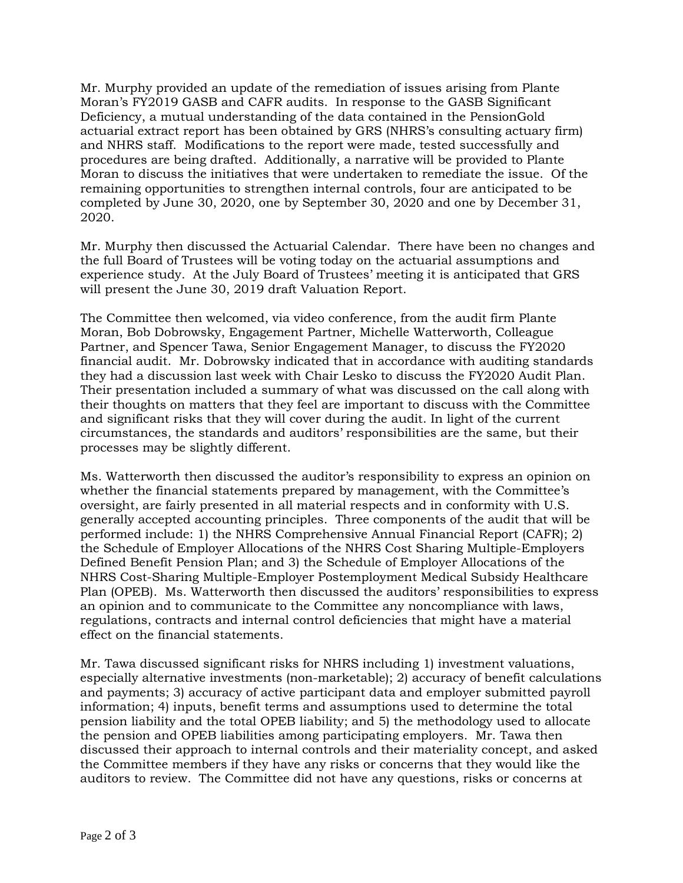Mr. Murphy provided an update of the remediation of issues arising from Plante Moran's FY2019 GASB and CAFR audits. In response to the GASB Significant Deficiency, a mutual understanding of the data contained in the PensionGold actuarial extract report has been obtained by GRS (NHRS's consulting actuary firm) and NHRS staff. Modifications to the report were made, tested successfully and procedures are being drafted. Additionally, a narrative will be provided to Plante Moran to discuss the initiatives that were undertaken to remediate the issue. Of the remaining opportunities to strengthen internal controls, four are anticipated to be completed by June 30, 2020, one by September 30, 2020 and one by December 31, 2020.

Mr. Murphy then discussed the Actuarial Calendar. There have been no changes and the full Board of Trustees will be voting today on the actuarial assumptions and experience study. At the July Board of Trustees' meeting it is anticipated that GRS will present the June 30, 2019 draft Valuation Report.

The Committee then welcomed, via video conference, from the audit firm Plante Moran, Bob Dobrowsky, Engagement Partner, Michelle Watterworth, Colleague Partner, and Spencer Tawa, Senior Engagement Manager, to discuss the FY2020 financial audit. Mr. Dobrowsky indicated that in accordance with auditing standards they had a discussion last week with Chair Lesko to discuss the FY2020 Audit Plan. Their presentation included a summary of what was discussed on the call along with their thoughts on matters that they feel are important to discuss with the Committee and significant risks that they will cover during the audit. In light of the current circumstances, the standards and auditors' responsibilities are the same, but their processes may be slightly different.

Ms. Watterworth then discussed the auditor's responsibility to express an opinion on whether the financial statements prepared by management, with the Committee's oversight, are fairly presented in all material respects and in conformity with U.S. generally accepted accounting principles. Three components of the audit that will be performed include: 1) the NHRS Comprehensive Annual Financial Report (CAFR); 2) the Schedule of Employer Allocations of the NHRS Cost Sharing Multiple-Employers Defined Benefit Pension Plan; and 3) the Schedule of Employer Allocations of the NHRS Cost-Sharing Multiple-Employer Postemployment Medical Subsidy Healthcare Plan (OPEB). Ms. Watterworth then discussed the auditors' responsibilities to express an opinion and to communicate to the Committee any noncompliance with laws, regulations, contracts and internal control deficiencies that might have a material effect on the financial statements.

Mr. Tawa discussed significant risks for NHRS including 1) investment valuations, especially alternative investments (non-marketable); 2) accuracy of benefit calculations and payments; 3) accuracy of active participant data and employer submitted payroll information; 4) inputs, benefit terms and assumptions used to determine the total pension liability and the total OPEB liability; and 5) the methodology used to allocate the pension and OPEB liabilities among participating employers. Mr. Tawa then discussed their approach to internal controls and their materiality concept, and asked the Committee members if they have any risks or concerns that they would like the auditors to review.The Committee did not have any questions, risks or concerns at